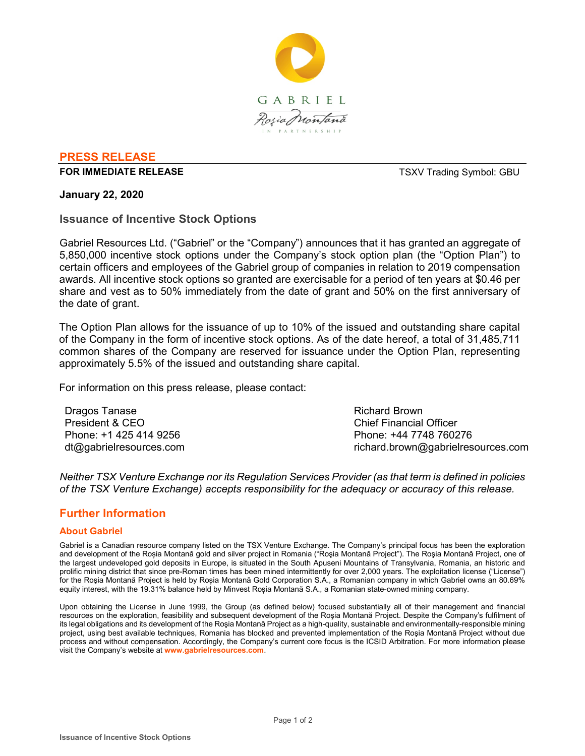

## **PRESS RELEASE**

#### **FOR IMMEDIATE RELEASE THE SECOND SYMBOL: GBU TSXV Trading Symbol: GBU**

#### **January 22, 2020**

## **Issuance of Incentive Stock Options**

Gabriel Resources Ltd. ("Gabriel" or the "Company") announces that it has granted an aggregate of 5,850,000 incentive stock options under the Company's stock option plan (the "Option Plan") to certain officers and employees of the Gabriel group of companies in relation to 2019 compensation awards. All incentive stock options so granted are exercisable for a period of ten years at \$0.46 per share and vest as to 50% immediately from the date of grant and 50% on the first anniversary of the date of grant.

The Option Plan allows for the issuance of up to 10% of the issued and outstanding share capital of the Company in the form of incentive stock options. As of the date hereof, a total of 31,485,711 common shares of the Company are reserved for issuance under the Option Plan, representing approximately 5.5% of the issued and outstanding share capital.

For information on this press release, please contact:

Dragos Tanase President & CEO Phone: +1 425 414 9256 dt@gabrielresources.com

Richard Brown Chief Financial Officer Phone: +44 7748 760276 richard.brown@gabrielresources.com

*Neither TSX Venture Exchange nor its Regulation Services Provider (as that term is defined in policies of the TSX Venture Exchange) accepts responsibility for the adequacy or accuracy of this release.*

# **Further Information**

#### **About Gabriel**

Gabriel is a Canadian resource company listed on the TSX Venture Exchange. The Company's principal focus has been the exploration and development of the Roșia Montană gold and silver project in Romania ("Roşia Montană Project"). The Roşia Montană Project, one of the largest undeveloped gold deposits in Europe, is situated in the South Apuseni Mountains of Transylvania, Romania, an historic and prolific mining district that since pre-Roman times has been mined intermittently for over 2,000 years. The exploitation license ("License") for the Roşia Montană Project is held by Roșia Montană Gold Corporation S.A., a Romanian company in which Gabriel owns an 80.69% equity interest, with the 19.31% balance held by Minvest Roșia Montană S.A., a Romanian state-owned mining company.

Upon obtaining the License in June 1999, the Group (as defined below) focused substantially all of their management and financial resources on the exploration, feasibility and subsequent development of the Roşia Montană Project. Despite the Company's fulfilment of its legal obligations and its development of the Roşia Montană Project as a high-quality, sustainable and environmentally-responsible mining project, using best available techniques, Romania has blocked and prevented implementation of the Roşia Montană Project without due process and without compensation. Accordingly, the Company's current core focus is the ICSID Arbitration. For more information please visit the Company's website at **www.gabrielresources.com**.